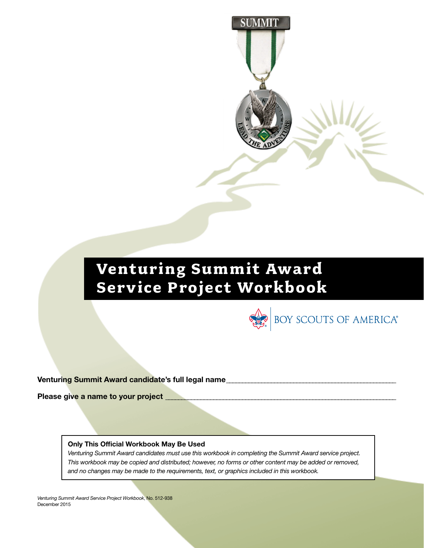

SUMMI'

BOY SCOUTS OF AMERICA®

Venturing Summit Award candidate's full legal name

Please give a name to your project

#### Only This Official Workbook May Be Used

*Venturing Summit Award candidates must use this workbook in completing the Summit Award service project. This workbook may be copied and distributed; however, no forms or other content may be added or removed, and no changes may be made to the requirements, text, or graphics included in this workbook.*

*Venturing Summit Award Service Project Workbook*, No. 512-938 December 2015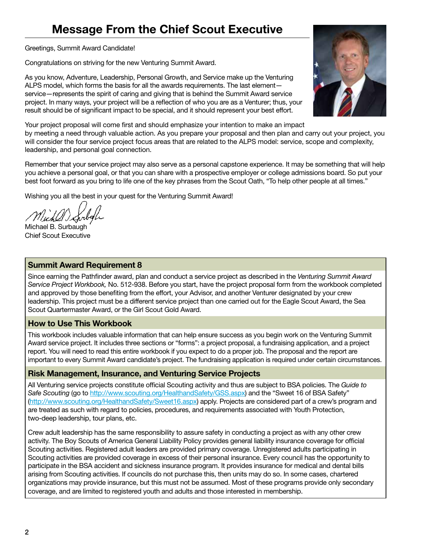# Message From the Chief Scout Executive

Greetings, Summit Award Candidate!

Congratulations on striving for the new Venturing Summit Award.

As you know, Adventure, Leadership, Personal Growth, and Service make up the Venturing ALPS model, which forms the basis for all the awards requirements. The last element service—represents the spirit of caring and giving that is behind the Summit Award service project. In many ways, your project will be a reflection of who you are as a Venturer; thus, your result should be of significant impact to be special, and it should represent your best effort.

Your project proposal will come first and should emphasize your intention to make an impact by meeting a need through valuable action. As you prepare your proposal and then plan and carry out your project, you will consider the four service project focus areas that are related to the ALPS model: service, scope and complexity, leadership, and personal goal connection.

Remember that your service project may also serve as a personal capstone experience. It may be something that will help you achieve a personal goal, or that you can share with a prospective employer or college admissions board. So put your best foot forward as you bring to life one of the key phrases from the Scout Oath, "To help other people at all times."

Wishing you all the best in your quest for the Venturing Summit Award!

Michael B. Surbaugh Chief Scout Executive

### Summit Award Requirement 8

Since earning the Pathfinder award, plan and conduct a service project as described in the *Venturing Summit Award Service Project Workbook,* No. 512-938. Before you start, have the project proposal form from the workbook completed and approved by those benefiting from the effort, your Advisor, and another Venturer designated by your crew leadership. This project must be a different service project than one carried out for the Eagle Scout Award, the Sea Scout Quartermaster Award, or the Girl Scout Gold Award.

# How to Use This Workbook

This workbook includes valuable information that can help ensure success as you begin work on the Venturing Summit Award service project. It includes three sections or "forms": a project proposal, a fundraising application, and a project report. You will need to read this entire workbook if you expect to do a proper job. The proposal and the report are important to every Summit Award candidate's project. The fundraising application is required under certain circumstances.

# Risk Management, Insurance, and Venturing Service Projects

All Venturing service projects constitute official Scouting activity and thus are subject to BSA policies. The *Guide to*  Safe Scouting (go to http://www.scouting.org/HealthandSafety/GSS.aspx) and the "Sweet 16 of BSA Safety" (http://www.scouting.org/HealthandSafety/Sweet16.aspx) apply. Projects are considered part of a crew's program and are treated as such with regard to policies, procedures, and requirements associated with Youth Protection, two-deep leadership, tour plans, etc.

Crew adult leadership has the same responsibility to assure safety in conducting a project as with any other crew activity. The Boy Scouts of America General Liability Policy provides general liability insurance coverage for official Scouting activities. Registered adult leaders are provided primary coverage. Unregistered adults participating in Scouting activities are provided coverage in excess of their personal insurance. Every council has the opportunity to participate in the BSA accident and sickness insurance program. It provides insurance for medical and dental bills arising from Scouting activities. If councils do not purchase this, then units may do so. In some cases, chartered organizations may provide insurance, but this must not be assumed. Most of these programs provide only secondary coverage, and are limited to registered youth and adults and those interested in membership.

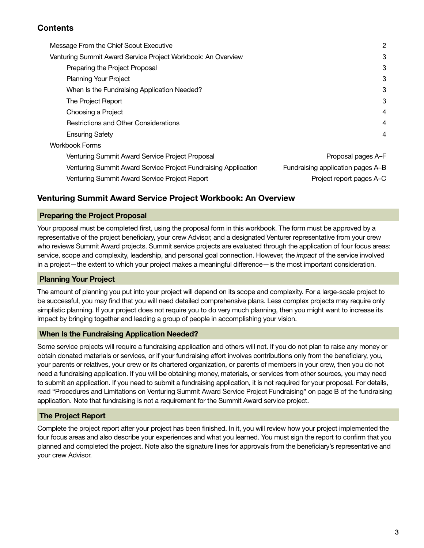# **Contents**

| Message From the Chief Scout Executive                         | $\mathbf{2}$                      |
|----------------------------------------------------------------|-----------------------------------|
| Venturing Summit Award Service Project Workbook: An Overview   | 3                                 |
| Preparing the Project Proposal                                 | 3                                 |
| <b>Planning Your Project</b>                                   | 3                                 |
| When Is the Fundraising Application Needed?                    | 3                                 |
| The Project Report                                             | 3                                 |
| Choosing a Project                                             | $\overline{4}$                    |
| Restrictions and Other Considerations                          | $\overline{4}$                    |
| <b>Ensuring Safety</b>                                         | 4                                 |
| <b>Workbook Forms</b>                                          |                                   |
| Venturing Summit Award Service Project Proposal                | Proposal pages A-F                |
| Venturing Summit Award Service Project Fundraising Application | Fundraising application pages A-B |
| Venturing Summit Award Service Project Report                  | Project report pages A-C          |

# Venturing Summit Award Service Project Workbook: An Overview

#### Preparing the Project Proposal

Your proposal must be completed first, using the proposal form in this workbook. The form must be approved by a representative of the project beneficiary, your crew Advisor, and a designated Venturer representative from your crew who reviews Summit Award projects. Summit service projects are evaluated through the application of four focus areas: service, scope and complexity, leadership, and personal goal connection. However, the *impact* of the service involved in a project—the extent to which your project makes a meaningful difference—is the most important consideration.

#### Planning Your Project

The amount of planning you put into your project will depend on its scope and complexity. For a large-scale project to be successful, you may find that you will need detailed comprehensive plans. Less complex projects may require only simplistic planning. If your project does not require you to do very much planning, then you might want to increase its impact by bringing together and leading a group of people in accomplishing your vision.

#### When Is the Fundraising Application Needed?

Some service projects will require a fundraising application and others will not. If you do not plan to raise any money or obtain donated materials or services, or if your fundraising effort involves contributions only from the beneficiary, you, your parents or relatives, your crew or its chartered organization, or parents of members in your crew, then you do not need a fundraising application. If you will be obtaining money, materials, or services from other sources, you may need to submit an application. If you need to submit a fundraising application, it is not required for your proposal. For details, read "Procedures and Limitations on Venturing Summit Award Service Project Fundraising" on page B of the fundraising application. Note that fundraising is not a requirement for the Summit Award service project.

### The Project Report

Complete the project report after your project has been finished. In it, you will review how your project implemented the four focus areas and also describe your experiences and what you learned. You must sign the report to confirm that you planned and completed the project. Note also the signature lines for approvals from the beneficiary's representative and your crew Advisor.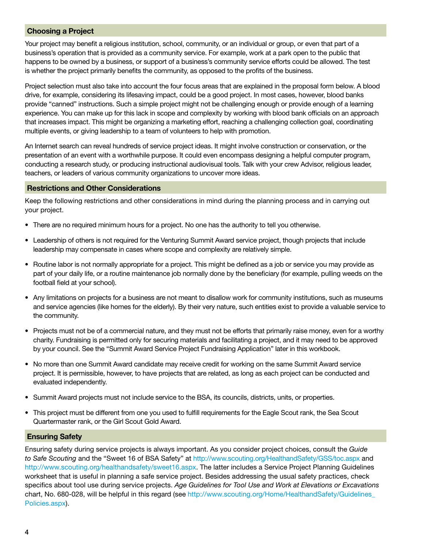### Choosing a Project

Your project may benefit a religious institution, school, community, or an individual or group, or even that part of a business's operation that is provided as a community service. For example, work at a park open to the public that happens to be owned by a business, or support of a business's community service efforts could be allowed. The test is whether the project primarily benefits the community, as opposed to the profits of the business.

Project selection must also take into account the four focus areas that are explained in the proposal form below. A blood drive, for example, considering its lifesaving impact, could be a good project. In most cases, however, blood banks provide "canned" instructions. Such a simple project might not be challenging enough or provide enough of a learning experience. You can make up for this lack in scope and complexity by working with blood bank officials on an approach that increases impact. This might be organizing a marketing effort, reaching a challenging collection goal, coordinating multiple events, or giving leadership to a team of volunteers to help with promotion.

An Internet search can reveal hundreds of service project ideas. It might involve construction or conservation, or the presentation of an event with a worthwhile purpose. It could even encompass designing a helpful computer program, conducting a research study, or producing instructional audiovisual tools. Talk with your crew Advisor, religious leader, teachers, or leaders of various community organizations to uncover more ideas.

#### Restrictions and Other Considerations

Keep the following restrictions and other considerations in mind during the planning process and in carrying out your project.

- There are no required minimum hours for a project. No one has the authority to tell you otherwise.
- Leadership of others is not required for the Venturing Summit Award service project, though projects that include leadership may compensate in cases where scope and complexity are relatively simple.
- Routine labor is not normally appropriate for a project. This might be defined as a job or service you may provide as part of your daily life, or a routine maintenance job normally done by the beneficiary (for example, pulling weeds on the football field at your school).
- Any limitations on projects for a business are not meant to disallow work for community institutions, such as museums and service agencies (like homes for the elderly). By their very nature, such entities exist to provide a valuable service to the community.
- Projects must not be of a commercial nature, and they must not be efforts that primarily raise money, even for a worthy charity. Fundraising is permitted only for securing materials and facilitating a project, and it may need to be approved by your council. See the "Summit Award Service Project Fundraising Application" later in this workbook.
- No more than one Summit Award candidate may receive credit for working on the same Summit Award service project. It is permissible, however, to have projects that are related, as long as each project can be conducted and evaluated independently.
- Summit Award projects must not include service to the BSA, its councils, districts, units, or properties.
- This project must be different from one you used to fulfill requirements for the Eagle Scout rank, the Sea Scout Quartermaster rank, or the Girl Scout Gold Award.

### Ensuring Safety

Ensuring safety during service projects is always important. As you consider project choices, consult the *Guide to Safe Scouting* and the "Sweet 16 of BSA Safety" at http://www.scouting.org/HealthandSafety/GSS/toc.aspx and http://www.scouting.org/healthandsafety/sweet16.aspx. The latter includes a Service Project Planning Guidelines worksheet that is useful in planning a safe service project. Besides addressing the usual safety practices, check specifics about tool use during service projects. *Age Guidelines for Tool Use and Work at Elevations or Excavations* chart, No. 680-028, will be helpful in this regard (see http://www.scouting.org/Home/HealthandSafety/Guidelines\_ Policies.aspx).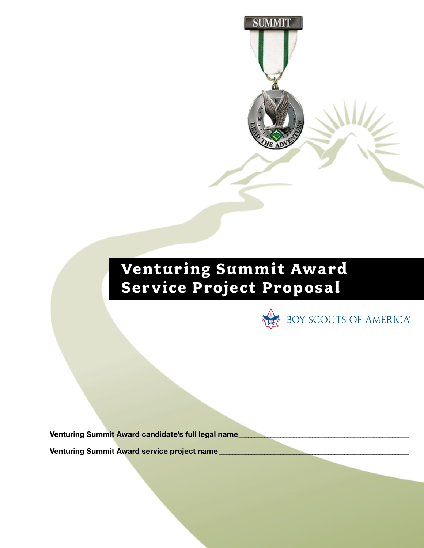

**SUMMIT** 



Venturing Summit Award candidate's full legal name

Venturing Summit Award service project name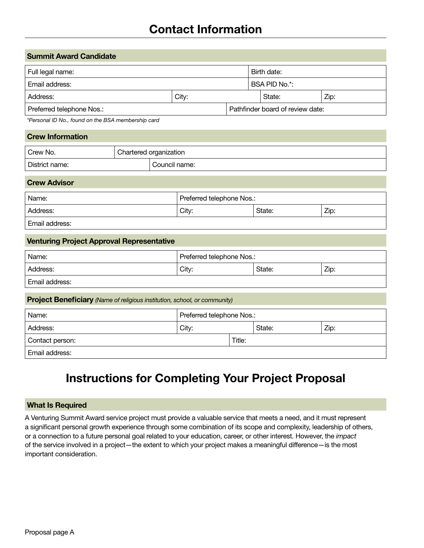# Contact Information

| <b>Summit Award Candidate</b>   |  |  |                                  |  |  |
|---------------------------------|--|--|----------------------------------|--|--|
| Birth date:<br>Full legal name: |  |  |                                  |  |  |
| Email address:                  |  |  | BSA PID No.*:                    |  |  |
| City:<br>Address:               |  |  | Zip:<br>State:                   |  |  |
| Preferred telephone Nos.:       |  |  | Pathfinder board of review date: |  |  |

*\*Personal ID No., found on the BSA membership card*

| <b>Crew Information</b> |  |                        |  |  |  |
|-------------------------|--|------------------------|--|--|--|
| <sup>1</sup> Crew No.   |  | Chartered organization |  |  |  |
| District name:          |  | Council name:          |  |  |  |

#### Crew Advisor

| Name:          | Preferred telephone Nos.: |  |  |
|----------------|---------------------------|--|--|
| Address:       | Zip:<br>City:<br>State:   |  |  |
| Email address: |                           |  |  |

### Venturing Project Approval Representative

| Name:          | Preferred telephone Nos.: |  |  |  |
|----------------|---------------------------|--|--|--|
| Address:       | Zip:<br>City:<br>State:   |  |  |  |
| Email address: |                           |  |  |  |

#### Project Beneficiary *(Name of religious institution, school, or community)*

| Name:           | Preferred telephone Nos.: |        |        |      |
|-----------------|---------------------------|--------|--------|------|
| Address:        | City:                     |        | State: | Zip: |
| Contact person: |                           | Title: |        |      |
| Email address:  |                           |        |        |      |

# Instructions for Completing Your Project Proposal

#### What Is Required

A Venturing Summit Award service project must provide a valuable service that meets a need, and it must represent a significant personal growth experience through some combination of its scope and complexity, leadership of others, or a connection to a future personal goal related to your education, career, or other interest. However, the *impact* of the service involved in a project—the extent to which your project makes a meaningful difference—is the most important consideration.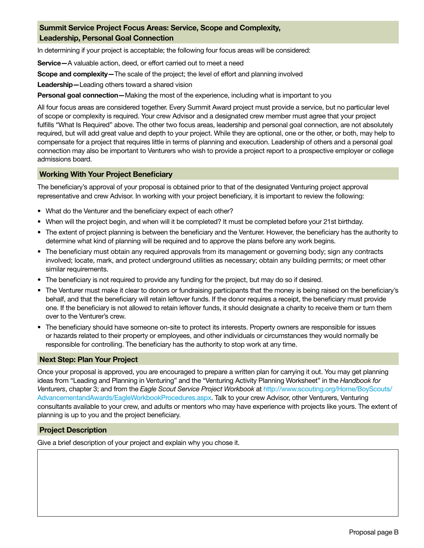# Summit Service Project Focus Areas: Service, Scope and Complexity, Leadership, Personal Goal Connection

In determining if your project is acceptable; the following four focus areas will be considered:

Service—A valuable action, deed, or effort carried out to meet a need

Scope and complexity—The scale of the project; the level of effort and planning involved

Leadership—Leading others toward a shared vision

Personal goal connection—Making the most of the experience, including what is important to you

All four focus areas are considered together. Every Summit Award project must provide a service, but no particular level of scope or complexity is required. Your crew Advisor and a designated crew member must agree that your project fulfills "What Is Required" above. The other two focus areas, leadership and personal goal connection, are not absolutely required, but will add great value and depth to your project. While they are optional, one or the other, or both, may help to compensate for a project that requires little in terms of planning and execution. Leadership of others and a personal goal connection may also be important to Venturers who wish to provide a project report to a prospective employer or college admissions board.

#### Working With Your Project Beneficiary

The beneficiary's approval of your proposal is obtained prior to that of the designated Venturing project approval representative and crew Advisor. In working with your project beneficiary, it is important to review the following:

- What do the Venturer and the beneficiary expect of each other?
- When will the project begin, and when will it be completed? It must be completed before your 21st birthday.
- The extent of project planning is between the beneficiary and the Venturer. However, the beneficiary has the authority to determine what kind of planning will be required and to approve the plans before any work begins.
- The beneficiary must obtain any required approvals from its management or governing body; sign any contracts involved; locate, mark, and protect underground utilities as necessary; obtain any building permits; or meet other similar requirements.
- The beneficiary is not required to provide any funding for the project, but may do so if desired.
- The Venturer must make it clear to donors or fundraising participants that the money is being raised on the beneficiary's behalf, and that the beneficiary will retain leftover funds. If the donor requires a receipt, the beneficiary must provide one. If the beneficiary is not allowed to retain leftover funds, it should designate a charity to receive them or turn them over to the Venturer's crew.
- The beneficiary should have someone on-site to protect its interests. Property owners are responsible for issues or hazards related to their property or employees, and other individuals or circumstances they would normally be responsible for controlling. The beneficiary has the authority to stop work at any time.

#### Next Step: Plan Your Project

Once your proposal is approved, you are encouraged to prepare a written plan for carrying it out. You may get planning ideas from "Leading and Planning in Venturing" and the "Venturing Activity Planning Worksheet" in the *Handbook for Venturers*, chapter 3; and from the *Eagle Scout Service Project Workbook* at http://www.scouting.org/Home/BoyScouts/ AdvancementandAwards/EagleWorkbookProcedures.aspx. Talk to your crew Advisor, other Venturers, Venturing consultants available to your crew, and adults or mentors who may have experience with projects like yours. The extent of planning is up to you and the project beneficiary.

#### Project Description

Give a brief description of your project and explain why you chose it.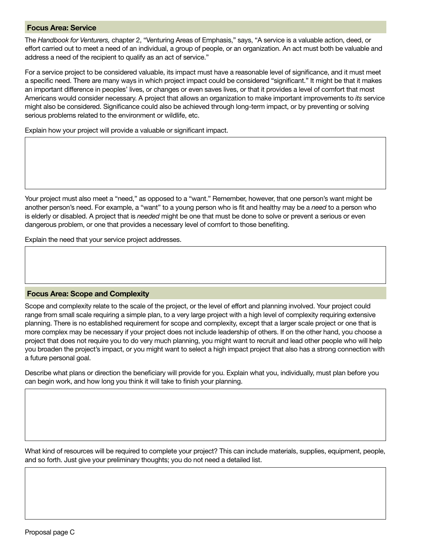#### Focus Area: Service

The *Handbook for Venturers,* chapter 2, "Venturing Areas of Emphasis," says, "A service is a valuable action, deed, or effort carried out to meet a need of an individual, a group of people, or an organization. An act must both be valuable and address a need of the recipient to qualify as an act of service."

For a service project to be considered valuable, its impact must have a reasonable level of significance, and it must meet a specific need. There are many ways in which project impact could be considered "significant." It might be that it makes an important difference in peoples' lives, or changes or even saves lives, or that it provides a level of comfort that most Americans would consider necessary. A project that allows an organization to make important improvements to *its* service might also be considered. Significance could also be achieved through long-term impact, or by preventing or solving serious problems related to the environment or wildlife, etc.

Explain how your project will provide a valuable or significant impact.

Your project must also meet a "need," as opposed to a "want." Remember, however, that one person's want might be another person's need. For example, a "want" to a young person who is fit and healthy may be a *need* to a person who is elderly or disabled. A project that is *needed* might be one that must be done to solve or prevent a serious or even dangerous problem, or one that provides a necessary level of comfort to those benefiting.

Explain the need that your service project addresses.

#### Focus Area: Scope and Complexity

Scope and complexity relate to the scale of the project, or the level of effort and planning involved. Your project could range from small scale requiring a simple plan, to a very large project with a high level of complexity requiring extensive planning. There is no established requirement for scope and complexity, except that a larger scale project or one that is more complex may be necessary if your project does not include leadership of others. If on the other hand, you choose a project that does not require you to do very much planning, you might want to recruit and lead other people who will help you broaden the project's impact, or you might want to select a high impact project that also has a strong connection with a future personal goal.

Describe what plans or direction the beneficiary will provide for you. Explain what you, individually, must plan before you can begin work, and how long you think it will take to finish your planning.

What kind of resources will be required to complete your project? This can include materials, supplies, equipment, people, and so forth. Just give your preliminary thoughts; you do not need a detailed list.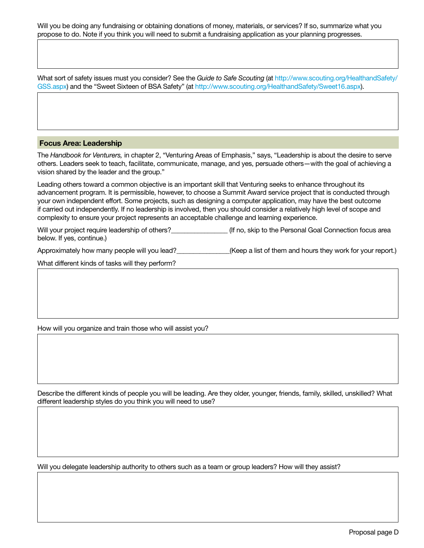Will you be doing any fundraising or obtaining donations of money, materials, or services? If so, summarize what you propose to do. Note if you think you will need to submit a fundraising application as your planning progresses.

What sort of safety issues must you consider? See the *Guide to Safe Scouting* (at http://www.scouting.org/HealthandSafety/ GSS.aspx) and the "Sweet Sixteen of BSA Safety" (at http://www.scouting.org/HealthandSafety/Sweet16.aspx).

#### Focus Area: Leadership

The *Handbook for Venturers,* in chapter 2, "Venturing Areas of Emphasis," says, "Leadership is about the desire to serve others. Leaders seek to teach, facilitate, communicate, manage, and yes, persuade others—with the goal of achieving a vision shared by the leader and the group."

Leading others toward a common objective is an important skill that Venturing seeks to enhance throughout its advancement program. It is permissible, however, to choose a Summit Award service project that is conducted through your own independent effort. Some projects, such as designing a computer application, may have the best outcome if carried out independently. If no leadership is involved, then you should consider a relatively high level of scope and complexity to ensure your project represents an acceptable challenge and learning experience.

Will your project require leadership of others? <br>(If no, skip to the Personal Goal Connection focus area below. If yes, continue.)

Approximately how many people will you lead?\_\_\_\_\_\_\_\_\_\_\_\_\_(Keep a list of them and hours they work for your report.)

What different kinds of tasks will they perform?

How will you organize and train those who will assist you?

Describe the different kinds of people you will be leading. Are they older, younger, friends, family, skilled, unskilled? What different leadership styles do you think you will need to use?

Will you delegate leadership authority to others such as a team or group leaders? How will they assist?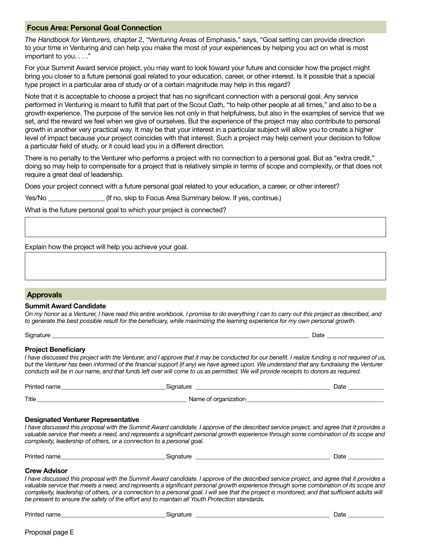#### Focus Area: Personal Goal Connection

*The Handbook for Venturers,* chapter 2, "Venturing Areas of Emphasis," says, "Goal setting can provide direction to your time in Venturing and can help you make the most of your experiences by helping you act on what is most important to you. . . ."

For your Summit Award service project, you may want to look toward your future and consider how the project might bring you closer to a future personal goal related to your education, career, or other interest. Is it possible that a special type project in a particular area of study or of a certain magnitude may help in this regard?

Note that it is acceptable to choose a project that has no significant connection with a personal goal. Any service performed in Venturing is meant to fulfill that part of the Scout Oath, "to help other people at all times," and also to be a growth experience. The purpose of the service lies not only in that helpfulness, but also in the examples of service that we set, and the reward we feel when we give of ourselves. But the experience of the project may also contribute to personal growth in another very practical way. It may be that your interest in a particular subject will allow you to create a higher level of impact because your project coincides with that interest. Such a project may help cement your decision to follow a particular field of study, or it could lead you in a different direction.

There is no penalty to the Venturer who performs a project with no connection to a personal goal. But as "extra credit," doing so may help to compensate for a project that is relatively simple in terms of scope and complexity, or that does not require a great deal of leadership.

Does your project connect with a future personal goal related to your education, a career, or other interest?

Yes/No \_\_\_\_\_\_\_\_\_\_\_\_\_\_\_\_\_\_\_\_\_\_\_(If no, skip to Focus Area Summary below. If yes, continue.)

What is the future personal goal to which your project is connected?

Explain how the project will help you achieve your goal.

#### Approvals

#### Summit Award Candidate

*On my honor as a Venturer, I have read this entire workbook. I promise to do everything I can to carry out this project as described, and to generate the best possible result for the beneficiary, while maximizing the learning experience for my own personal growth.*

Signature \_\_\_\_\_\_\_\_\_\_\_\_\_\_\_\_\_\_\_\_\_\_\_\_\_\_\_\_\_\_\_\_\_\_\_\_\_\_\_\_\_\_\_\_\_\_\_\_\_\_\_\_\_\_\_\_\_\_\_\_\_\_\_\_\_\_\_\_\_\_\_\_\_\_\_\_\_\_\_\_\_\_\_\_\_\_ Date \_\_\_\_\_\_\_\_\_\_\_\_\_\_\_\_\_\_\_

#### Project Beneficiary

*I have discussed this project with the Venturer, and I approve that it may be conducted for our benefit. I realize funding is not required of us, but the Venturer has been informed of the financial support (if any) we have agreed upon. We understand that any fundraising the Venturer conducts will be in our name, and that funds left over will come to us as permitted. We will provide receipts to donors as required.*

| Printed name | $i$ conctuse                   | Date |
|--------------|--------------------------------|------|
| Title        | Name of organ.<br>organization |      |

#### Designated Venturer Representative

*I have discussed this proposal with the Summit Award candidate. I approve of the described service project, and agree that it provides a valuable service that meets a need, and represents a significant personal growth experience through some combination of its scope and complexity, leadership of others, or a connection to a personal goal.*

| Printed<br>name: | tı ıre<br>Siai<br>. . | Jate |  |
|------------------|-----------------------|------|--|
|                  |                       |      |  |

#### Crew Advisor

*I have discussed this proposal with the Summit Award candidate. I approve of the described service project, and agree that it provides a valuable service that meets a need, and represents a significant personal growth experience through some combination of its scope and complexity, leadership of others, or a connection to a personal goal. I will see that the project is monitored, and that sufficient adults will be present to ensure the safety of the effort and to maintain all Youth Protection standards.*

Printed name\_\_\_\_\_\_\_\_\_\_\_\_\_\_\_\_\_\_\_\_\_\_\_\_\_\_\_\_\_\_\_\_\_\_\_Signature \_\_\_\_\_\_\_\_\_\_\_\_\_\_\_\_\_\_\_\_\_\_\_\_\_\_\_\_\_\_\_\_\_\_\_\_\_\_\_\_\_\_\_\_\_ Date \_\_\_\_\_\_\_\_\_\_\_\_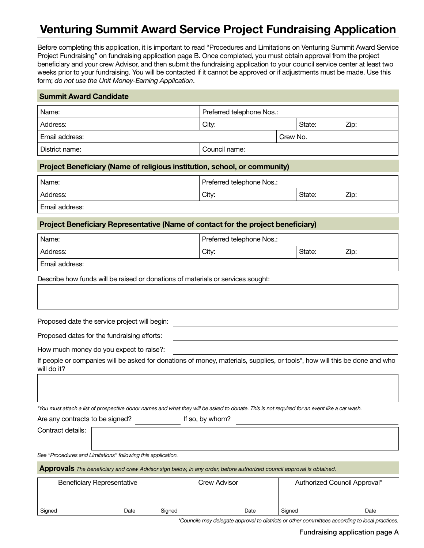# Venturing Summit Award Service Project Fundraising Application

Before completing this application, it is important to read "Procedures and Limitations on Venturing Summit Award Service Project Fundraising" on fundraising application page B. Once completed, you must obtain approval from the project beneficiary and your crew Advisor, and then submit the fundraising application to your council service center at least two weeks prior to your fundraising. You will be contacted if it cannot be approved or if adjustments must be made. Use this form; *do not use the Unit Money-Earning Application*.

| <b>Summit Award Candidate</b>      |               |  |          |      |  |  |
|------------------------------------|---------------|--|----------|------|--|--|
| Preferred telephone Nos.:<br>Name: |               |  |          |      |  |  |
| Address:                           | City:         |  | State:   | Zip: |  |  |
| Email address:                     |               |  | Crew No. |      |  |  |
| District name:                     | Council name: |  |          |      |  |  |

#### Project Beneficiary (Name of religious institution, school, or community)

| Name:          | Preferred telephone Nos.: |  |  |
|----------------|---------------------------|--|--|
| Address:       | Zip:<br>City:<br>State:   |  |  |
| Email address: |                           |  |  |

#### Project Beneficiary Representative (Name of contact for the project beneficiary)

| Name:          | Preferred telephone Nos.: |  |  |
|----------------|---------------------------|--|--|
| Address:       | Zip:<br>City:<br>State:   |  |  |
| Email address: |                           |  |  |

Describe how funds will be raised or donations of materials or services sought:

Proposed date the service project will begin:

Proposed dates for the fundraising efforts:

How much money do you expect to raise?:

If people or companies will be asked for donations of money, materials, supplies, or tools\*, how will this be done and who will do it?

*\*You must attach a list of prospective donor names and what they will be asked to donate. This is not required for an event like a car wash.*

Are any contracts to be signed? If so, by whom?

Contract details:

*See "Procedures and Limitations" following this application.*

Approvals *The beneficiary and crew Advisor sign below, in any order, before authorized council approval is obtained.*

| <b>Beneficiary Representative</b> |      |        | Crew Advisor | Authorized Council Approval* |      |  |
|-----------------------------------|------|--------|--------------|------------------------------|------|--|
|                                   |      |        |              |                              |      |  |
| Signed                            | Date | Signed | Date         | Signed                       | Date |  |

*\*Councils may delegate approval to districts or other committees according to local practices.*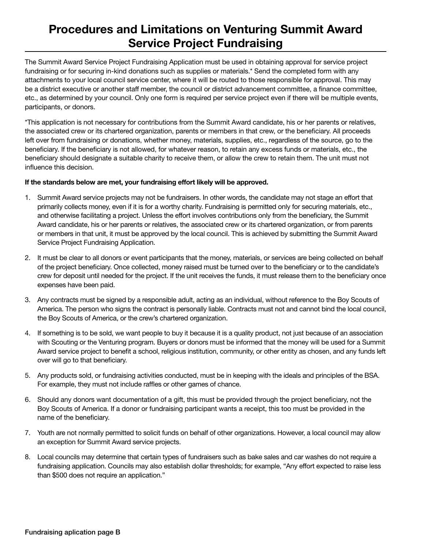# Procedures and Limitations on Venturing Summit Award Service Project Fundraising

The Summit Award Service Project Fundraising Application must be used in obtaining approval for service project fundraising or for securing in-kind donations such as supplies or materials.\* Send the completed form with any attachments to your local council service center, where it will be routed to those responsible for approval. This may be a district executive or another staff member, the council or district advancement committee, a finance committee, etc., as determined by your council. Only one form is required per service project even if there will be multiple events, participants, or donors.

\*This application is not necessary for contributions from the Summit Award candidate, his or her parents or relatives, the associated crew or its chartered organization, parents or members in that crew, or the beneficiary. All proceeds left over from fundraising or donations, whether money, materials, supplies, etc., regardless of the source, go to the beneficiary. If the beneficiary is not allowed, for whatever reason, to retain any excess funds or materials, etc., the beneficiary should designate a suitable charity to receive them, or allow the crew to retain them. The unit must not influence this decision.

#### If the standards below are met, your fundraising effort likely will be approved.

- 1. Summit Award service projects may not be fundraisers. In other words, the candidate may not stage an effort that primarily collects money, even if it is for a worthy charity. Fundraising is permitted only for securing materials, etc., and otherwise facilitating a project. Unless the effort involves contributions only from the beneficiary, the Summit Award candidate, his or her parents or relatives, the associated crew or its chartered organization, or from parents or members in that unit, it must be approved by the local council. This is achieved by submitting the Summit Award Service Project Fundraising Application.
- 2. It must be clear to all donors or event participants that the money, materials, or services are being collected on behalf of the project beneficiary. Once collected, money raised must be turned over to the beneficiary or to the candidate's crew for deposit until needed for the project. If the unit receives the funds, it must release them to the beneficiary once expenses have been paid.
- 3. Any contracts must be signed by a responsible adult, acting as an individual, without reference to the Boy Scouts of America. The person who signs the contract is personally liable. Contracts must not and cannot bind the local council, the Boy Scouts of America, or the crew's chartered organization.
- 4. If something is to be sold, we want people to buy it because it is a quality product, not just because of an association with Scouting or the Venturing program. Buyers or donors must be informed that the money will be used for a Summit Award service project to benefit a school, religious institution, community, or other entity as chosen, and any funds left over will go to that beneficiary.
- 5. Any products sold, or fundraising activities conducted, must be in keeping with the ideals and principles of the BSA. For example, they must not include raffles or other games of chance.
- 6. Should any donors want documentation of a gift, this must be provided through the project beneficiary, not the Boy Scouts of America. If a donor or fundraising participant wants a receipt, this too must be provided in the name of the beneficiary.
- 7. Youth are not normally permitted to solicit funds on behalf of other organizations. However, a local council may allow an exception for Summit Award service projects.
- 8. Local councils may determine that certain types of fundraisers such as bake sales and car washes do not require a fundraising application. Councils may also establish dollar thresholds; for example, "Any effort expected to raise less than \$500 does not require an application."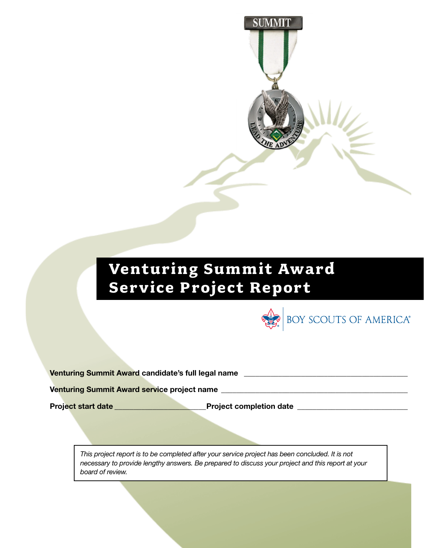

# **Venturing Summit Award Service Project Report**



| Venturing Summit Award candidate's full legal name |  |
|----------------------------------------------------|--|
|                                                    |  |

Venturing Summit Award service project name \_\_\_\_\_\_\_\_\_\_\_\_\_\_\_\_\_\_\_\_\_\_\_\_\_\_\_\_\_\_\_\_\_\_\_\_\_\_\_\_\_\_\_\_\_\_\_\_\_

Project start date \_\_\_\_\_\_\_\_\_\_\_\_\_\_\_\_\_\_\_\_\_\_\_\_Project completion date \_\_\_\_\_\_\_\_\_\_\_\_\_\_\_\_\_\_\_\_\_\_\_\_\_\_\_\_\_

*This project report is to be completed after your service project has been concluded. It is not necessary to provide lengthy answers. Be prepared to discuss your project and this report at your board of review.*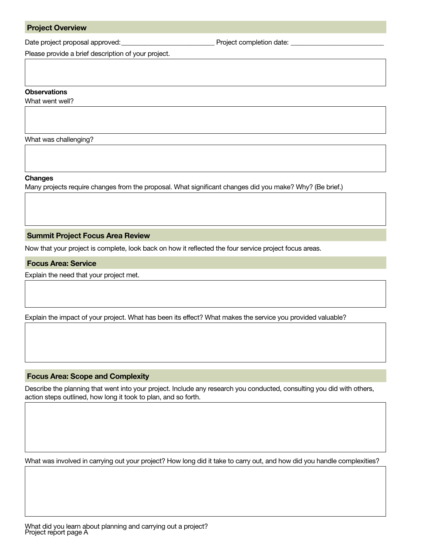Date project proposal approved:\_\_\_\_\_\_\_\_\_\_\_\_\_\_\_\_\_\_\_\_\_\_\_\_\_\_\_\_ Project completion date: \_\_\_\_\_\_\_\_\_\_\_\_\_\_\_\_\_\_\_\_\_\_\_\_\_\_\_\_

Please provide a brief description of your project.

# **Observations**

What went well?

What was challenging?

Changes

Many projects require changes from the proposal. What significant changes did you make? Why? (Be brief.)

Summit Project Focus Area Review

Now that your project is complete, look back on how it reflected the four service project focus areas.

Focus Area: Service

Explain the need that your project met.

Explain the impact of your project. What has been its effect? What makes the service you provided valuable?

#### Focus Area: Scope and Complexity

Describe the planning that went into your project. Include any research you conducted, consulting you did with others, action steps outlined, how long it took to plan, and so forth.

What was involved in carrying out your project? How long did it take to carry out, and how did you handle complexities?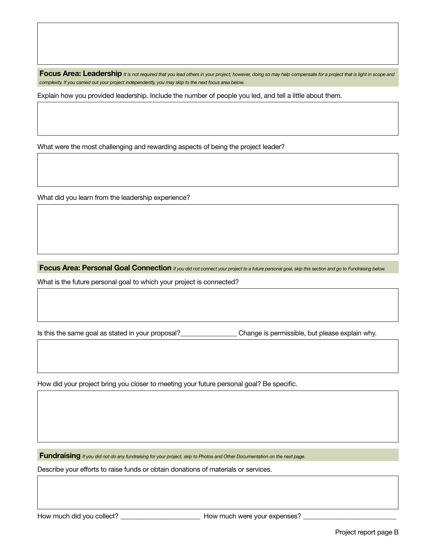Focus Area: Leadership *It is not required that you lead others in your project; however, doing so may help compensate for a project that is light in scope and complexity. If you carried out your project independently, you may skip to the next focus area below.*

Explain how you provided leadership. Include the number of people you led, and tell a little about them.

What were the most challenging and rewarding aspects of being the project leader?

What did you learn from the leadership experience?

Focus Area: Personal Goal Connection *If you did not connect your project to a future personal goal, skip this section and go to Fundraising below.* 

What is the future personal goal to which your project is connected?

Is this the same goal as stated in your proposal?<br>
Change is permissible, but please explain why.

How did your project bring you closer to meeting your future personal goal? Be specific.

Fundraising *If you did not do any fundraising for your project, skip to Photos and Other Documentation on the next page.*

Describe your efforts to raise funds or obtain donations of materials or services.